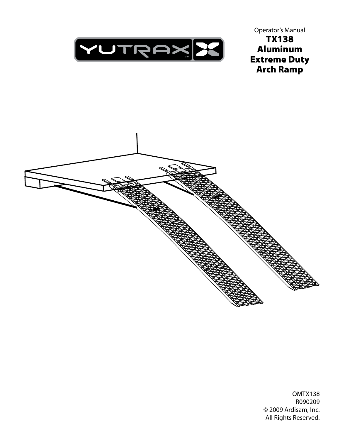

Operator's Manual TX138 Aluminum Extreme Duty Arch Ramp



OMTX138 R090209 © 2009 Ardisam, Inc. All Rights Reserved.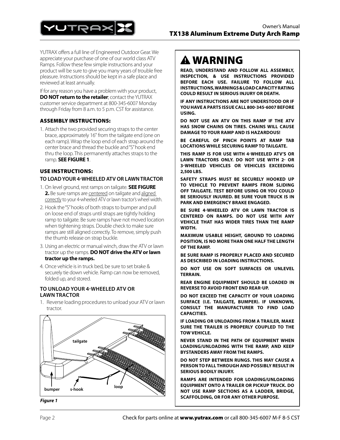

YUTRAX offers a full line of Engineered Outdoor Gear. We appreciate your purchase of one of our world class ATV Ramps. Follow these few simple instructions and your product will be sure to give you many years of trouble free pleasure. Instructions should be kept in a safe place and reviewed at least annually.

If for any reason you have a problem with your product, **DO NOT return to the retailer**; contact the YUTRAX customer service department at 800-345-6007 Monday through Friday from 8 a.m. to 5 p.m. CST for assistance.

## ASSEMBLY INSTRUCTIONS:

1. Attach the two provided securing straps to the center brace, approximately 16" from the tailgate end (one on each ramp). Wrap the loop end of each strap around the center brace and thread the buckle and "S" hook end thru the loop. This permanently attaches straps to the ramp. **SEE FIGURE 1**.

#### use Instructions: **TO LOAD YOUR 4-WHEELED ATV OR LAWN TRACTOR**

- 1. On level ground, rest ramps on tailgate. **SEE FIGURE 2.** Be sure ramps are centered on tailgate and aligned correctly to your 4-wheeled ATV or lawn tractor's wheel width.
- 2. Hook the "S" hooks of both straps to bumper and pull on loose end of straps until straps are tightly holding ramp to tailgate. Be sure ramps have not moved location when tightening straps. Double check to make sure ramps are still aligned correctly. To remove, simply push the thumb release on strap buckle.
- 3. Using an electric or manual winch, draw the ATV or lawn tractor up the ramps. **DO NOT drive the ATV or lawn tractor up the ramps.**
- 4. Once vehicle is in truck bed, be sure to set brake & securely tie down vehicle. Ramp can now be removed, folded up, and stored.

## **To Unload your 4-wheeled ATV OR LAWN TRACTOR**

1. Reverse loading procedures to unload your ATV or lawn tractor.



*Figure 1*

# WARNING

**READ, UNDERSTAND and follow ALL ASSEMBLY, INSPECTION, & USE INSTRUCTIONS PROVIDED BEFORE EACH USE. FAILURE TO FOLLOW all INSTRUCTIONS, warnings & loadcapacityrating COULD RESULT IN SERIOUS INJURY OR DEATH.**

**if any instructions are not understood or if youhave a parts issue call 800-345-6007 before using.** 

**DO NOT USE AN ATV ON THIS RAMP IF THE ATV HAS SNOW CHAINS ON TIRES. CHAINS WILL CAUSE DAMAGE TO YOUR RAMP AND IS HAZARDOUS!**

**BE CAREFUL OF PINCH POINTS AT RAMP TAB LOCATIONS WHILE SECURING RAMP TO TAILGATE.**

**THIS RAMP IS FOR USE WITH 4-WHEELED ATV'S OR LAWN TRACTORS ONLY. DO NOT USE WITH 2- OR 3‑WHEELED VEHICLES OR VEHICLES EXCEEDING 2,500 LBS.**

**SAFETY STRAPS MUST BE SECURELY HOOKED UP TO VEHICLE TO PREVENT RAMPS FROM SLIDING OFF TAILGATE. TEST BEFORE USING OR YOU COULD BE SERIOUSLY INJURED. BE SURE YOUR TRUCK IS IN PARK AND EMERGENCY BRAKE ENGAGED.**

**BE SURE 4-WHEELED ATV OR LAWN TRACTOR IS CENTERED ON RAMPS. DO NOT USE WITH ANY VEHICLE THAT HAS WIDER TIRES THAN THE RAMP WIDTH.**

**MAXIMUM USABLE HEIGHT, GROUND TO LOADING POSITION, IS NO MORE THAN ONE HALF THE LENGTH OF THE RAMP.**

**BE SURE RAMP IS PROPERLY PLACED AND SECURED AS DESCRIBED IN LOADING INSTRUCTIONS.**

**DO NOT USE ON SOFT SURFACES OR UNLEVEL TERRAIN.**

**REAR ENGINE EQUIPMENT SHOULD BE LOADED IN REVERSE TO AVOID FRONT END REAR-UP.**

**Do not exceed the capacity of your loading surface (i.e. tailgate, bumper). If unknown, consult the manufacturer to find load capacities.**

**If loading or unloading from a trailer, make sure the trailer is properly coupled to the tow vehicle.**

**Never stand in the path of equipment when loading/unloading with the ramp, and keep bystanders away from the ramps.**

**Do not step between rungs. this may cause a personto fall through and possibly result in serious bodily injury.**

**Ramps are intended for loading/unloading equipment onto a trailer or pickup truck. Do not use ramp sections as a ladder, bridge, scaffolding, or for any other purpose.**